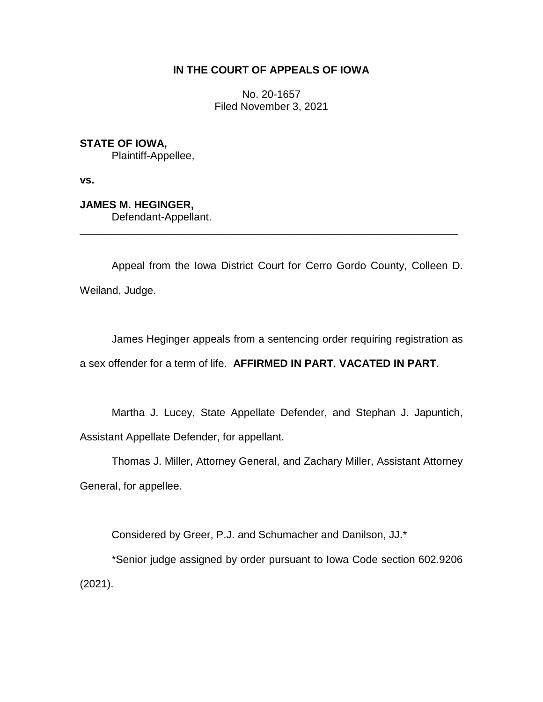# **IN THE COURT OF APPEALS OF IOWA**

No. 20-1657 Filed November 3, 2021

**STATE OF IOWA,**

Plaintiff-Appellee,

**vs.**

**JAMES M. HEGINGER,**

Defendant-Appellant.

Appeal from the Iowa District Court for Cerro Gordo County, Colleen D. Weiland, Judge.

\_\_\_\_\_\_\_\_\_\_\_\_\_\_\_\_\_\_\_\_\_\_\_\_\_\_\_\_\_\_\_\_\_\_\_\_\_\_\_\_\_\_\_\_\_\_\_\_\_\_\_\_\_\_\_\_\_\_\_\_\_\_\_\_

James Heginger appeals from a sentencing order requiring registration as a sex offender for a term of life. **AFFIRMED IN PART**, **VACATED IN PART**.

Martha J. Lucey, State Appellate Defender, and Stephan J. Japuntich, Assistant Appellate Defender, for appellant.

Thomas J. Miller, Attorney General, and Zachary Miller, Assistant Attorney General, for appellee.

Considered by Greer, P.J. and Schumacher and Danilson, JJ.\*

\*Senior judge assigned by order pursuant to Iowa Code section 602.9206 (2021).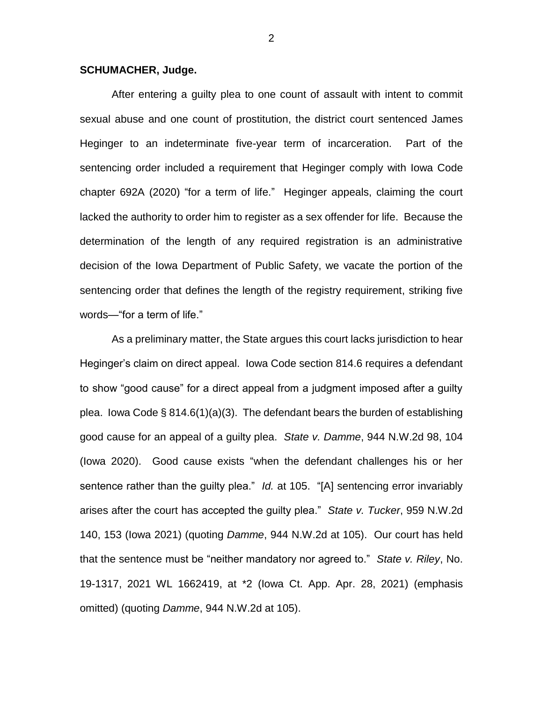#### **SCHUMACHER, Judge.**

After entering a guilty plea to one count of assault with intent to commit sexual abuse and one count of prostitution, the district court sentenced James Heginger to an indeterminate five-year term of incarceration. Part of the sentencing order included a requirement that Heginger comply with Iowa Code chapter 692A (2020) "for a term of life." Heginger appeals, claiming the court lacked the authority to order him to register as a sex offender for life. Because the determination of the length of any required registration is an administrative decision of the Iowa Department of Public Safety, we vacate the portion of the sentencing order that defines the length of the registry requirement, striking five words—"for a term of life."

As a preliminary matter, the State argues this court lacks jurisdiction to hear Heginger's claim on direct appeal. Iowa Code section 814.6 requires a defendant to show "good cause" for a direct appeal from a judgment imposed after a guilty plea. Iowa Code § 814.6(1)(a)(3). The defendant bears the burden of establishing good cause for an appeal of a guilty plea. *State v. Damme*, 944 N.W.2d 98, 104 (Iowa 2020). Good cause exists "when the defendant challenges his or her sentence rather than the guilty plea." *Id.* at 105. "[A] sentencing error invariably arises after the court has accepted the guilty plea." *State v. Tucker*, 959 N.W.2d 140, 153 (Iowa 2021) (quoting *Damme*, 944 N.W.2d at 105). Our court has held that the sentence must be "neither mandatory nor agreed to." *State v. Riley*, No. 19-1317, 2021 WL 1662419, at \*2 (Iowa Ct. App. Apr. 28, 2021) (emphasis omitted) (quoting *Damme*, 944 N.W.2d at 105).

2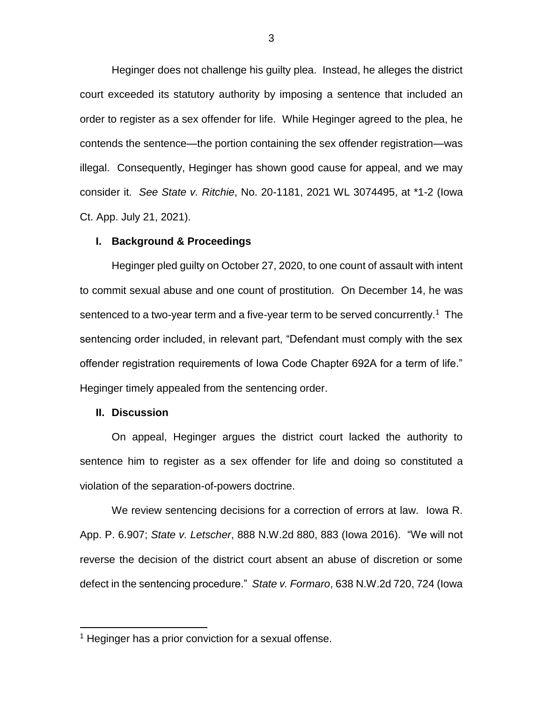Heginger does not challenge his guilty plea. Instead, he alleges the district court exceeded its statutory authority by imposing a sentence that included an order to register as a sex offender for life. While Heginger agreed to the plea, he contends the sentence—the portion containing the sex offender registration—was illegal. Consequently, Heginger has shown good cause for appeal, and we may consider it. *See State v. Ritchie*, No. 20-1181, 2021 WL 3074495, at \*1-2 (Iowa Ct. App. July 21, 2021).

#### **I. Background & Proceedings**

Heginger pled guilty on October 27, 2020, to one count of assault with intent to commit sexual abuse and one count of prostitution. On December 14, he was sentenced to a two-year term and a five-year term to be served concurrently.<sup>1</sup> The sentencing order included, in relevant part, "Defendant must comply with the sex offender registration requirements of Iowa Code Chapter 692A for a term of life." Heginger timely appealed from the sentencing order.

#### **II. Discussion**

 $\overline{a}$ 

On appeal, Heginger argues the district court lacked the authority to sentence him to register as a sex offender for life and doing so constituted a violation of the separation-of-powers doctrine.

We review sentencing decisions for a correction of errors at law. Iowa R. App. P. 6.907; *State v. Letscher*, 888 N.W.2d 880, 883 (Iowa 2016). "We will not reverse the decision of the district court absent an abuse of discretion or some defect in the sentencing procedure." *State v. Formaro*, 638 N.W.2d 720, 724 (Iowa

<sup>&</sup>lt;sup>1</sup> Heginger has a prior conviction for a sexual offense.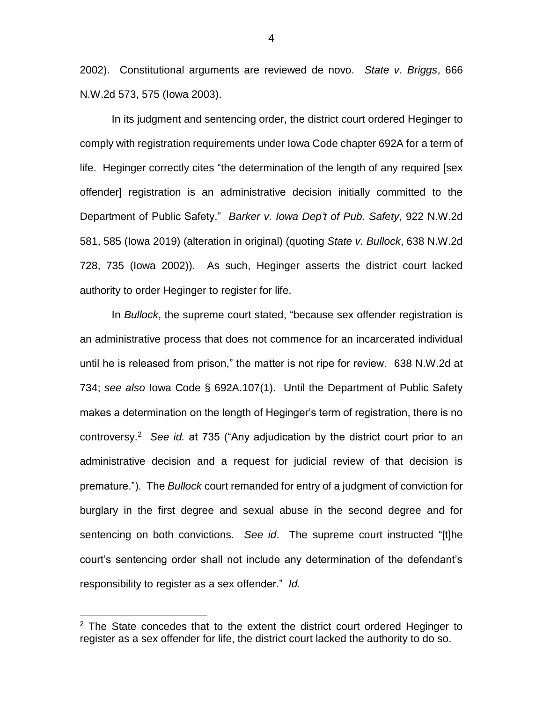2002). Constitutional arguments are reviewed de novo. *State v. Briggs*, 666 N.W.2d 573, 575 (Iowa 2003).

In its judgment and sentencing order, the district court ordered Heginger to comply with registration requirements under Iowa Code chapter 692A for a term of life. Heginger correctly cites "the determination of the length of any required [sex offender] registration is an administrative decision initially committed to the Department of Public Safety." *Barker v. Iowa Dep't of Pub. Safety*, 922 N.W.2d 581, 585 (Iowa 2019) (alteration in original) (quoting *State v. Bullock*, 638 N.W.2d 728, 735 (Iowa 2002)). As such, Heginger asserts the district court lacked authority to order Heginger to register for life.

In *Bullock*, the supreme court stated, "because sex offender registration is an administrative process that does not commence for an incarcerated individual until he is released from prison," the matter is not ripe for review. 638 N.W.2d at 734; *see also* Iowa Code § 692A.107(1). Until the Department of Public Safety makes a determination on the length of Heginger's term of registration, there is no controversy.<sup>2</sup> *See id.* at 735 ("Any adjudication by the district court prior to an administrative decision and a request for judicial review of that decision is premature."). The *Bullock* court remanded for entry of a judgment of conviction for burglary in the first degree and sexual abuse in the second degree and for sentencing on both convictions. *See id*.The supreme court instructed "[t]he court's sentencing order shall not include any determination of the defendant's responsibility to register as a sex offender." *Id.*

 $\overline{a}$ 

 $2$  The State concedes that to the extent the district court ordered Heginger to register as a sex offender for life, the district court lacked the authority to do so.